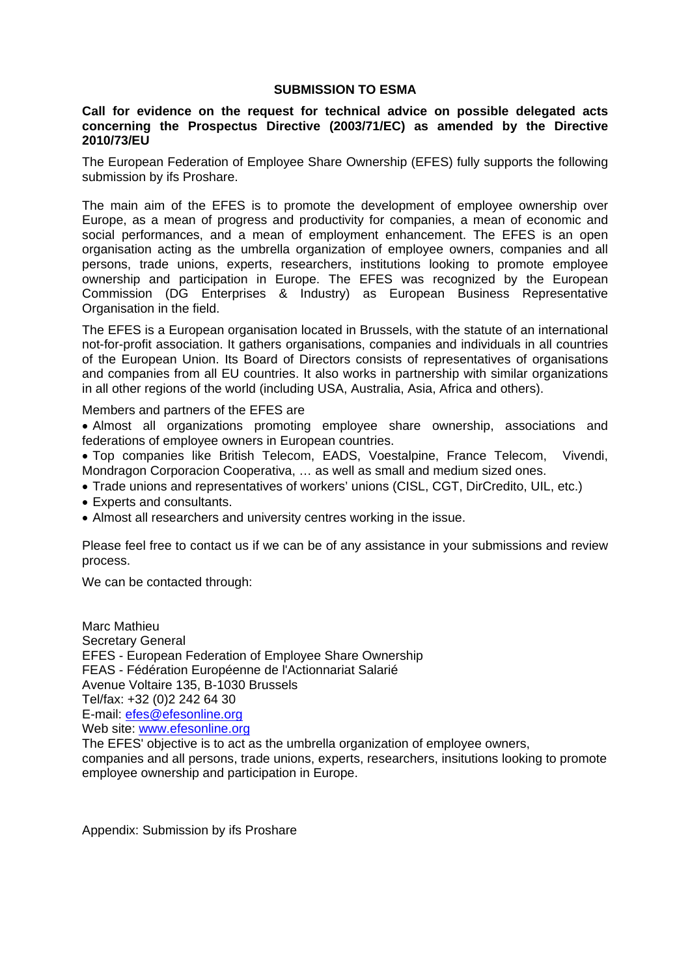### **SUBMISSION TO ESMA**

## **Call for evidence on the request for technical advice on possible delegated acts concerning the Prospectus Directive (2003/71/EC) as amended by the Directive 2010/73/EU**

The European Federation of Employee Share Ownership (EFES) fully supports the following submission by ifs Proshare.

The main aim of the EFES is to promote the development of employee ownership over Europe, as a mean of progress and productivity for companies, a mean of economic and social performances, and a mean of employment enhancement. The EFES is an open organisation acting as the umbrella organization of employee owners, companies and all persons, trade unions, experts, researchers, institutions looking to promote employee ownership and participation in Europe. The EFES was recognized by the European Commission (DG Enterprises & Industry) as European Business Representative Organisation in the field.

The EFES is a European organisation located in Brussels, with the statute of an international not-for-profit association. It gathers organisations, companies and individuals in all countries of the European Union. Its Board of Directors consists of representatives of organisations and companies from all EU countries. It also works in partnership with similar organizations in all other regions of the world (including USA, Australia, Asia, Africa and others).

#### Members and partners of the EFES are

 Almost all organizations promoting employee share ownership, associations and federations of employee owners in European countries.

 Top companies like British Telecom, EADS, Voestalpine, France Telecom, Vivendi, Mondragon Corporacion Cooperativa, … as well as small and medium sized ones.

- Trade unions and representatives of workers' unions (CISL, CGT, DirCredito, UIL, etc.)
- Experts and consultants.
- Almost all researchers and university centres working in the issue.

Please feel free to contact us if we can be of any assistance in your submissions and review process.

We can be contacted through:

Marc Mathieu Secretary General EFES - European Federation of Employee Share Ownership FEAS - Fédération Européenne de l'Actionnariat Salarié Avenue Voltaire 135, B-1030 Brussels Tel/fax: +32 (0)2 242 64 30 E-mail: efes@efesonline.org Web site: www.efesonline.org The EFES' objective is to act as the umbrella organization of employee owners, companies and all persons, trade unions, experts, researchers, insitutions looking to promote employee ownership and participation in Europe.

Appendix: Submission by ifs Proshare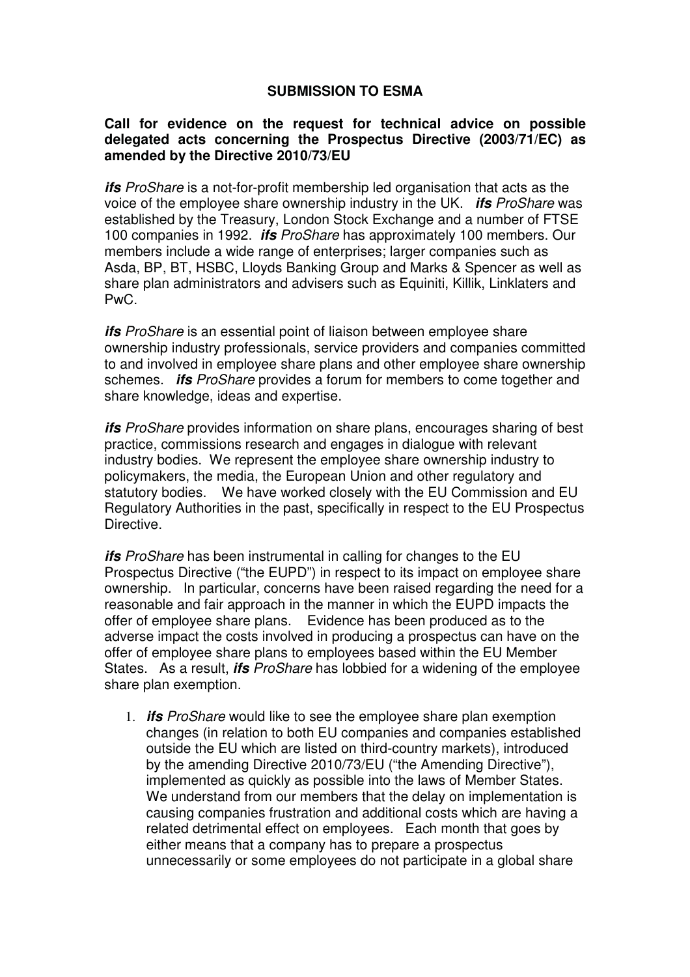# **SUBMISSION TO ESMA**

## **Call for evidence on the request for technical advice on possible delegated acts concerning the Prospectus Directive (2003/71/EC) as amended by the Directive 2010/73/EU**

*ifs* ProShare is a not-for-profit membership led organisation that acts as the voice of the employee share ownership industry in the UK. *ifs* ProShare was established by the Treasury, London Stock Exchange and a number of FTSE 100 companies in 1992. *ifs* ProShare has approximately 100 members. Our members include a wide range of enterprises; larger companies such as Asda, BP, BT, HSBC, Lloyds Banking Group and Marks & Spencer as well as share plan administrators and advisers such as Equiniti, Killik, Linklaters and PwC.

*ifs* ProShare is an essential point of liaison between employee share ownership industry professionals, service providers and companies committed to and involved in employee share plans and other employee share ownership schemes. *ifs* ProShare provides a forum for members to come together and share knowledge, ideas and expertise.

*ifs* ProShare provides information on share plans, encourages sharing of best practice, commissions research and engages in dialogue with relevant industry bodies. We represent the employee share ownership industry to policymakers, the media, the European Union and other regulatory and statutory bodies. We have worked closely with the EU Commission and EU Regulatory Authorities in the past, specifically in respect to the EU Prospectus Directive.

*ifs* ProShare has been instrumental in calling for changes to the EU Prospectus Directive ("the EUPD") in respect to its impact on employee share ownership. In particular, concerns have been raised regarding the need for a reasonable and fair approach in the manner in which the EUPD impacts the offer of employee share plans. Evidence has been produced as to the adverse impact the costs involved in producing a prospectus can have on the offer of employee share plans to employees based within the EU Member States. As a result, *ifs* ProShare has lobbied for a widening of the employee share plan exemption.

1. *ifs* ProShare would like to see the employee share plan exemption changes (in relation to both EU companies and companies established outside the EU which are listed on third-country markets), introduced by the amending Directive 2010/73/EU ("the Amending Directive"), implemented as quickly as possible into the laws of Member States. We understand from our members that the delay on implementation is causing companies frustration and additional costs which are having a related detrimental effect on employees. Each month that goes by either means that a company has to prepare a prospectus unnecessarily or some employees do not participate in a global share